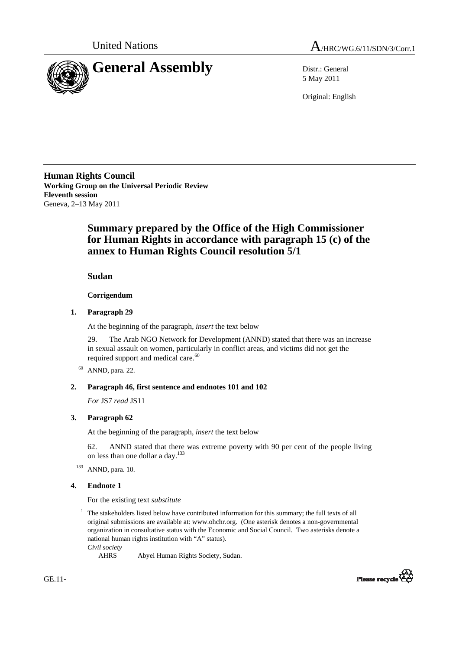



5 May 2011

Original: English

**Human Rights Council Working Group on the Universal Periodic Review Eleventh session**  Geneva, 2–13 May 2011

# **Summary prepared by the Office of the High Commissioner for Human Rights in accordance with paragraph 15 (c) of the annex to Human Rights Council resolution 5/1**

 **Sudan**

 **Corrigendum** 

### **1. Paragraph 29**

At the beginning of the paragraph, *insert* the text below

29. The Arab NGO Network for Development (ANND) stated that there was an increase in sexual assault on women, particularly in conflict areas, and victims did not get the required support and medical care.<sup>60</sup>

60 ANND, para. 22.

## **2. Paragraph 46, first sentence and endnotes 101 and 102**

*For* JS7 *read* JS11

## **3. Paragraph 62**

At the beginning of the paragraph, *insert* the text below

62. ANND stated that there was extreme poverty with 90 per cent of the people living on less than one dollar a day.133

<sup>133</sup> ANND, para. 10.

### **4. Endnote 1**

For the existing text *substitute* 

<sup>1</sup> The stakeholders listed below have contributed information for this summary; the full texts of all original submissions are available at: www.ohchr.org. (One asterisk denotes a non-governmental organization in consultative status with the Economic and Social Council. Two asterisks denote a national human rights institution with "A" status).

*Civil society* 

AHRS Abyei Human Rights Society, Sudan.



GE.11-